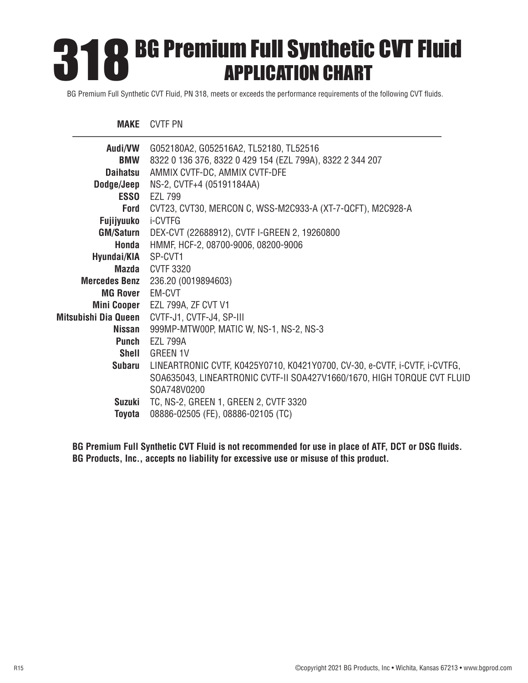# **BG Premium Full Synthetic CVT Fluid<br>
APPLICATION CHART** APPLICATION CHART

BG Premium Full Synthetic CVT Fluid, PN 318, meets or exceeds the performance requirements of the following CVT fluids.

### **MAKE** CVTF PN

| Audi/VW             | G052180A2, G052516A2, TL52180, TL52516                                     |
|---------------------|----------------------------------------------------------------------------|
| <b>BMW</b>          | 8322 0 136 376, 8322 0 429 154 (EZL 799A), 8322 2 344 207                  |
| <b>Daihatsu</b>     | AMMIX CVTF-DC, AMMIX CVTF-DFE                                              |
| Dodge/Jeep          | NS-2, CVTF+4 (05191184AA)                                                  |
| <b>ESSO</b>         | <b>EZL 799</b>                                                             |
| Ford                | CVT23, CVT30, MERCON C, WSS-M2C933-A (XT-7-QCFT), M2C928-A                 |
| <b>Fujijyuuko</b>   | i-CVTFG                                                                    |
| <b>GM/Saturn</b>    | DEX-CVT (22688912), CVTF I-GREEN 2, 19260800                               |
| Honda               | HMMF, HCF-2, 08700-9006, 08200-9006                                        |
| Hyundai/KIA SP-CVT1 |                                                                            |
| Mazda               | <b>CVTF 3320</b>                                                           |
|                     | <b>Mercedes Benz</b> 236.20 (0019894603)                                   |
| MG Rover EM-CVT     |                                                                            |
|                     | Mini Cooper EZL 799A, ZF CVT V1                                            |
|                     | Mitsubishi Dia Queen CVTF-J1, CVTF-J4, SP-III                              |
| Nissan              | 999MP-MTW00P, MATIC W, NS-1, NS-2, NS-3                                    |
| Punch               | <b>EZL 799A</b>                                                            |
| <b>Shell</b>        | <b>GREEN 1V</b>                                                            |
| Subaru              | LINEARTRONIC CVTF, K0425Y0710, K0421Y0700, CV-30, e-CVTF, i-CVTF, i-CVTFG, |
|                     | SOA635043, LINEARTRONIC CVTF-II SOA427V1660/1670, HIGH TORQUE CVT FLUID    |
|                     | SOA748V0200                                                                |
| Suzuki              | TC, NS-2, GREEN 1, GREEN 2, CVTF 3320                                      |
| Toyota              | 08886-02505 (FE), 08886-02105 (TC)                                         |

**BG Premium Full Synthetic CVT Fluid is not recommended for use in place of ATF, DCT or DSG fluids. BG Products, Inc., accepts no liability for excessive use or misuse of this product.**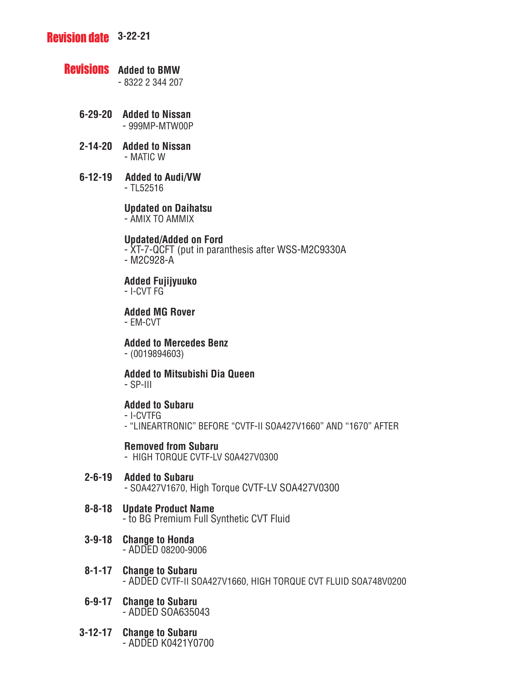# **Revision date** 3-22-21

# **Revisions** Added to BMW

- 8322 2 344 207

- **6-29-20 Added to Nissan** - 999MP-MTW00P
- **2-14-20 Added to Nissan** - MATIC W
- **6-12-19 Added to Audi/VW** - TL52516

 **Updated on Daihatsu**

- AMIX TO AMMIX

### **Updated/Added on Ford**

- XT-7-QCFT (put in paranthesis after WSS-M2C9330A

- M2C928-A

 **Added Fujijyuuko**

- I-CVT FG

 **Added MG Rover**

- EM-CVT

 **Added to Mercedes Benz**

- (0019894603)

 **Added to Mitsubishi Dia Queen**- SP-III

# **Added to Subaru**

- I-CVTFG
- "LINEARTRONIC" BEFORE "CVTF-II SOA427V1660" AND "1670" AFTER

# **Removed from Subaru**

- HIGH TORQUE CVTF-LV S0A427V0300

- **2-6-19 Added to Subaru**- SOA427V1670, High Torque CVTF-LV SOA427V0300
- **8-8-18 Update Product Name** - to BG Premium Full Synthetic CVT Fluid
- **3-9-18 Change to Honda** - ADDED 08200-9006
- **8-1-17 Change to Subaru** - ADDED CVTF-II SOA427V1660, HIGH TORQUE CVT FLUID SOA748V0200
- **6-9-17 Change to Subaru** - ADDED SOA635043
- **3-12-17 Change to Subaru** - ADDED K0421Y0700